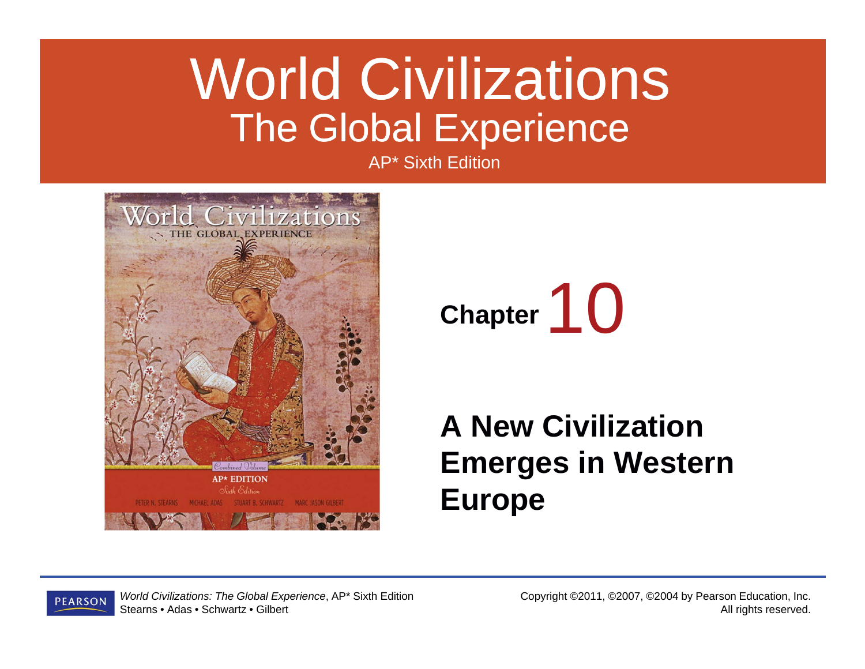### World Civilizations The Global Experience

AP\* Sixth Edition





#### **A New Civilization Emerges in Western Europe**

*World Civilizations: The Global Experience*, AP\* Sixth Edition **PEARSON** Stearns • Adas • Schwartz • Gilbert

Copyright ©2011, ©2007, ©2004 by Pearson Education, Inc. All rights reserved.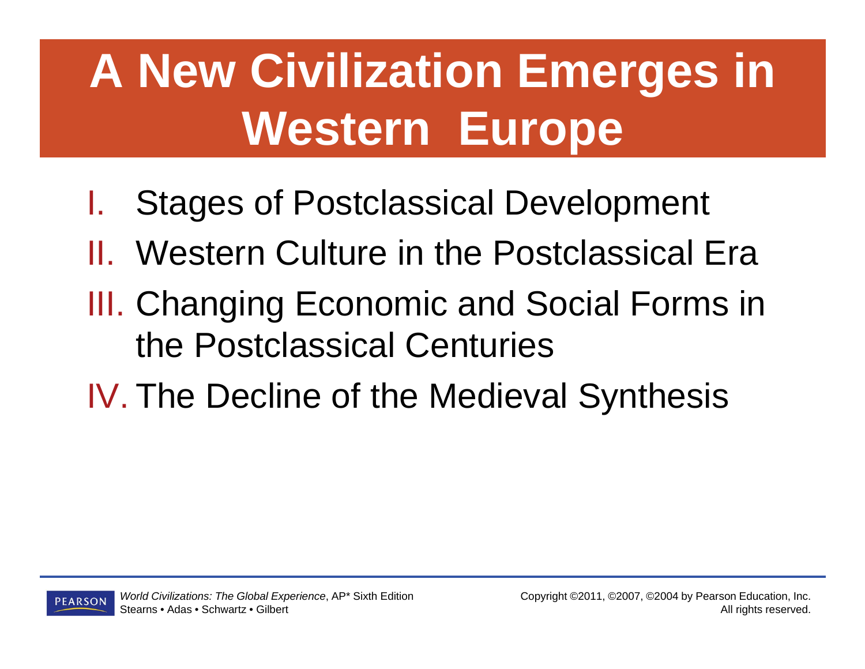# **A New Civilization Emerges in Western Europe**

- I.Stages of Postclassical Development
- II. Western Culture in the Postclassical Era
- III. Changing Economic and Social Forms in the Postclassical Centuries
- IV. The Decline of the Medieval Synthesis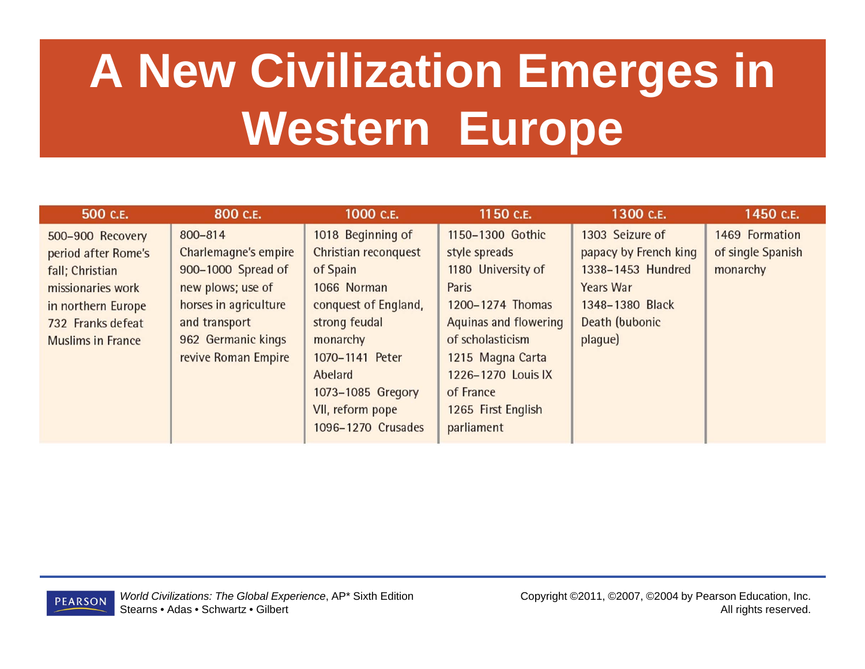# **A New Civilization Emerges in Western Europe**

| 500 C.E.                 | 800 C.E.              | 1000 C.E.            | 1150 C.E.                    | 1300 C.E.             | 1450 C.E.         |
|--------------------------|-----------------------|----------------------|------------------------------|-----------------------|-------------------|
| 500-900 Recovery         | 800-814               | 1018 Beginning of    | 1150-1300 Gothic             | 1303 Seizure of       | 1469 Formation    |
| period after Rome's      | Charlemagne's empire  | Christian reconquest | style spreads                | papacy by French king | of single Spanish |
| fall; Christian          | 900-1000 Spread of    | of Spain             | 1180 University of           | 1338-1453 Hundred     | monarchy          |
| missionaries work        | new plows; use of     | 1066 Norman          | Paris                        | <b>Years War</b>      |                   |
| in northern Europe       | horses in agriculture | conquest of England, | 1200-1274 Thomas             | 1348-1380 Black       |                   |
| 732 Franks defeat        | and transport         | strong feudal        | <b>Aquinas and flowering</b> | Death (bubonic        |                   |
| <b>Muslims in France</b> | 962 Germanic kings    | monarchy             | of scholasticism             | plaque)               |                   |
|                          | revive Roman Empire   | 1070-1141 Peter      | 1215 Magna Carta             |                       |                   |
|                          |                       | Abelard              | 1226-1270 Louis IX           |                       |                   |
|                          |                       | 1073-1085 Gregory    | of France                    |                       |                   |
|                          |                       | VII, reform pope     | 1265 First English           |                       |                   |
|                          |                       | 1096-1270 Crusades   | parliament                   |                       |                   |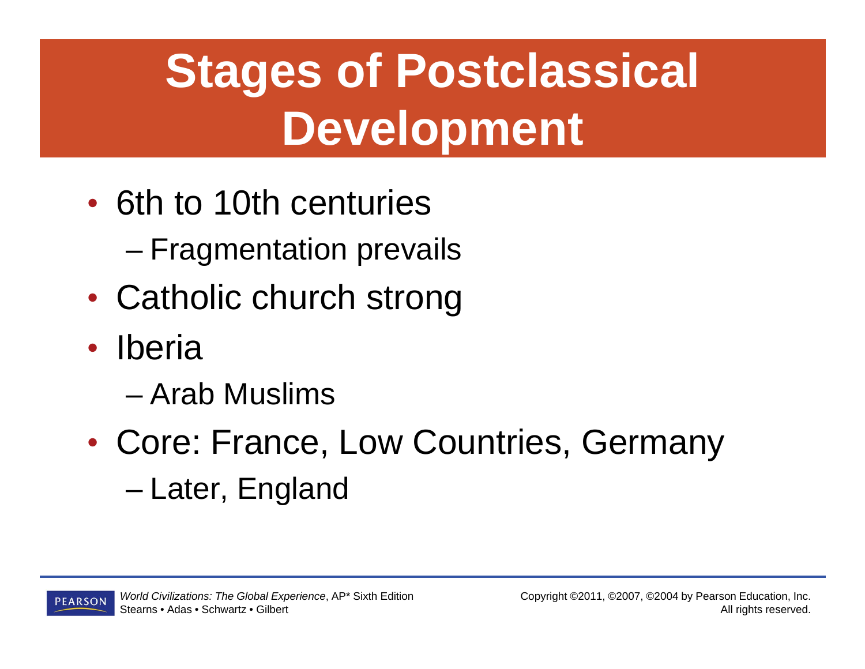## **Stages of Postclassical Development**

- 6th to 10th centuries
	- Fragmentation prevails
- $\bullet$ • Catholic church strong
- $\bullet$  Iberia
	- Arab Muslims
- $\bullet$  Core: France, Low Countries, Germany –Later, England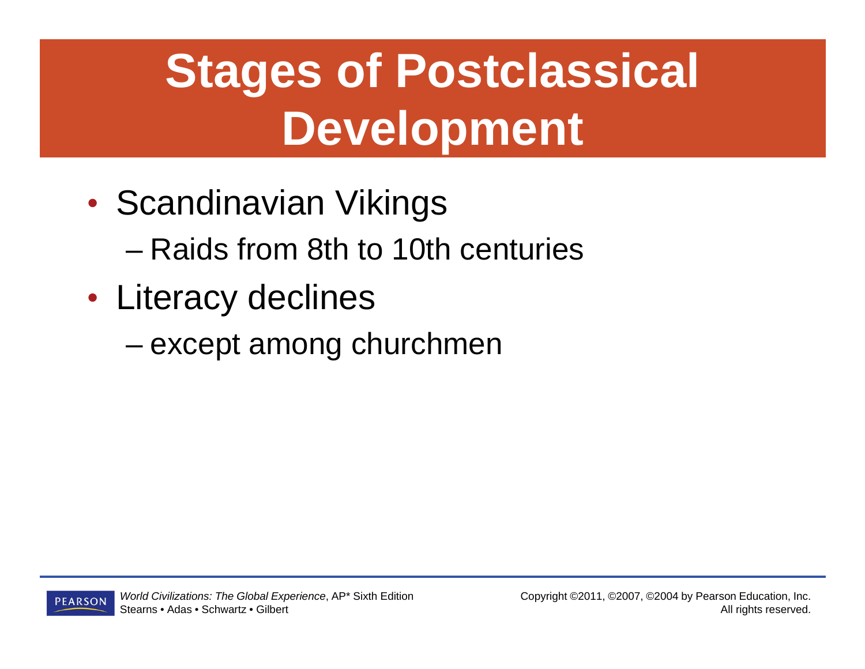# **Stages of Postclassical Development**

- $\bullet$ • Scandinavian Vikings
	- Raids from 8th to 10th centuries
- $\bullet$  Literacy declines
	- –except among churchmen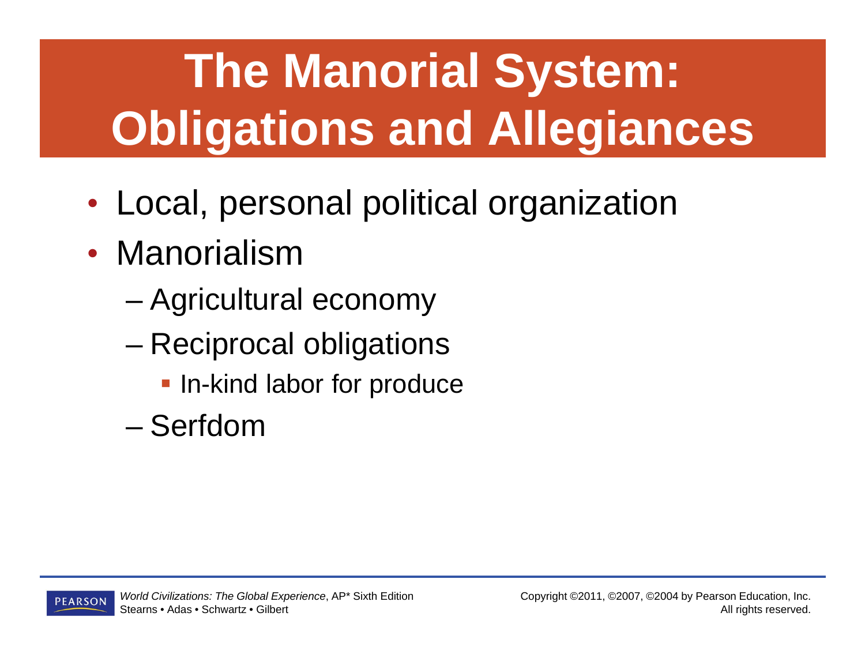# **The Manorial System: Obligations and Allegiances**

- $\bullet$ Local, personal political organization
- Manorialism
	- –Agricultural economy
	- – Reciprocal obligations
		- **In-kind labor for produce**
	- Serfdom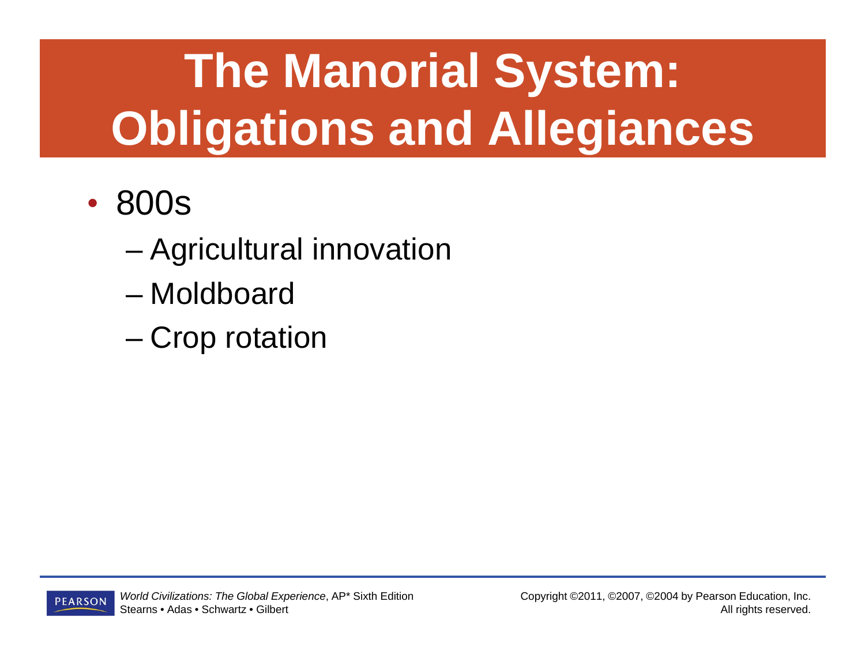# **The Manorial System: Obligations and Allegiances**

- $\bullet$  800s
	- Agricultural innovation
	- Moldboard
	- –Crop rotation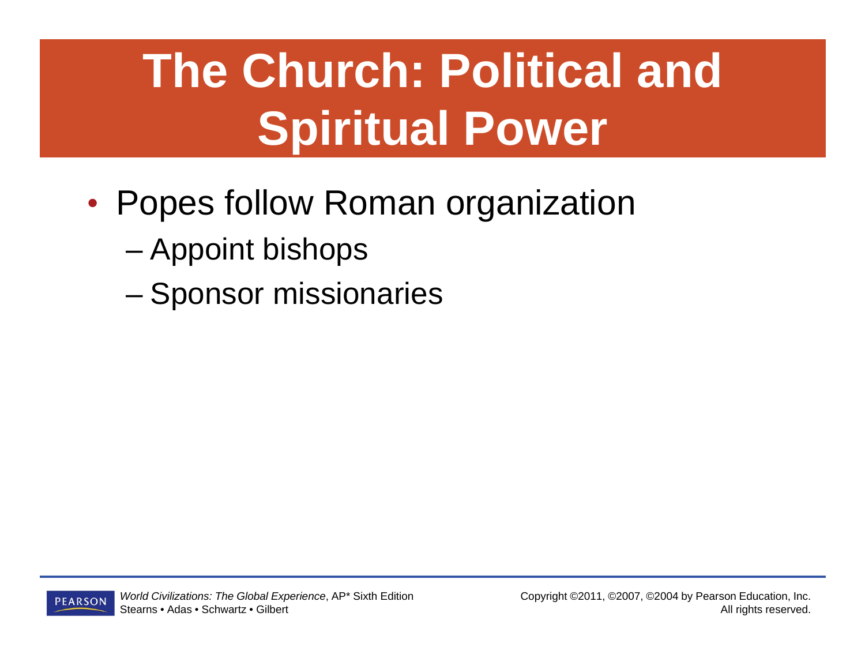# **The Church: Political and Spiritual Power**

- $\bullet$  Popes follow Roman organization
	- Appoint bishops
	- –Sponsor missionaries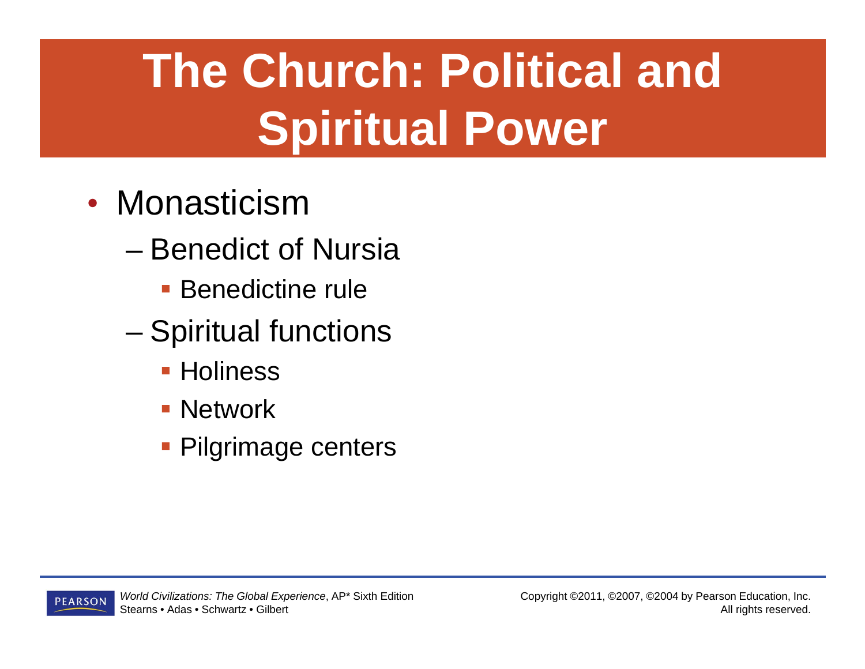# **The Church: Political and Spiritual Power**

- Monasticism
	- Benedict of Nursia
		- **Benedictine rule**
	- – Spiritual functions
		- **Holiness**
		- **Network**
		- **Pilgrimage centers**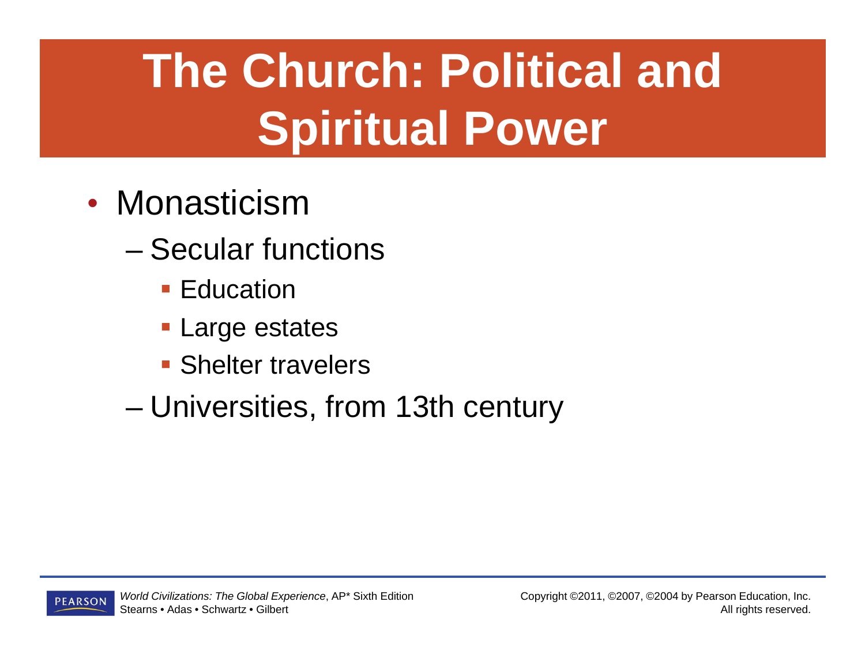# **The Church: Political and Spiritual Power**

- Monasticism
	- Secular functions
		- Education
		- Large estates
		- **Shelter travelers**
	- Universities, from 13th century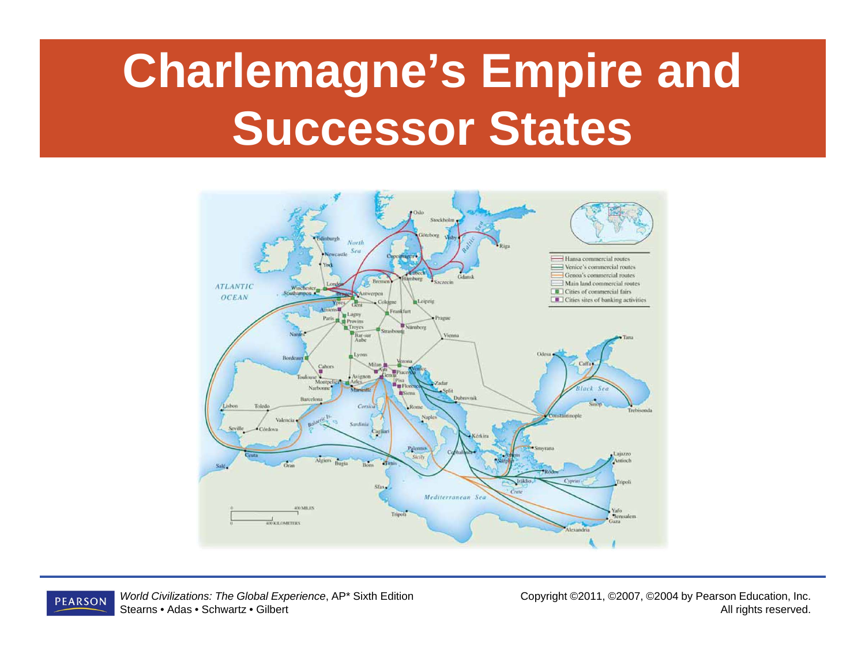### **Charlemagne's Empire and Successor States**



*World Civilizations: The Global Experience*, AP\* Sixth Edition **PEARSON** Stearns • Adas • Schwartz • Gilbert

Copyright ©2011, ©2007, ©2004 by Pearson Education, Inc. All rights reserved.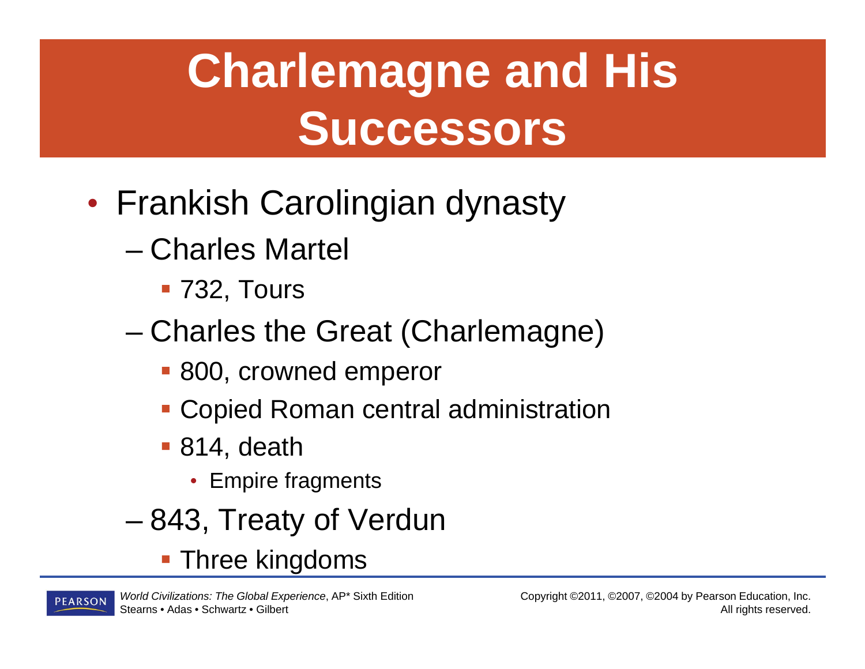# **Charlemagne and His Successors**

- $\bullet$ • Frankish Carolingian dynasty
	- Charles Martel
		- 732, Tours
	- – Charles the Great (Charlemagne)
		- 800, crowned emperor
		- Copied Roman central administration
		- 814, death
			- Empire fragments
	- –843, Treaty of Verdun

**Three kingdoms**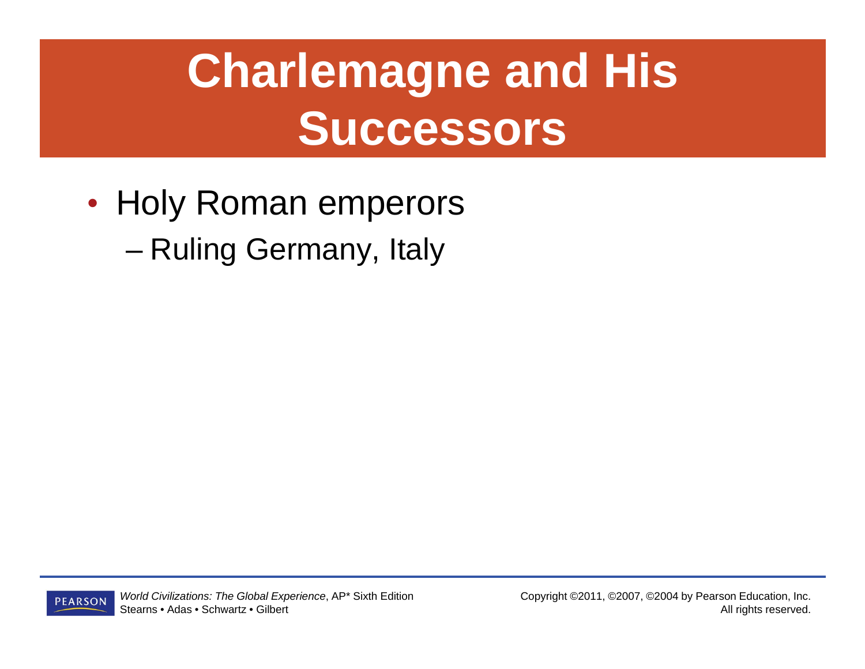### **Charlemagne and His Successors**

 $\bullet$ • Holy Roman emperors

Ruling Germany, Italy

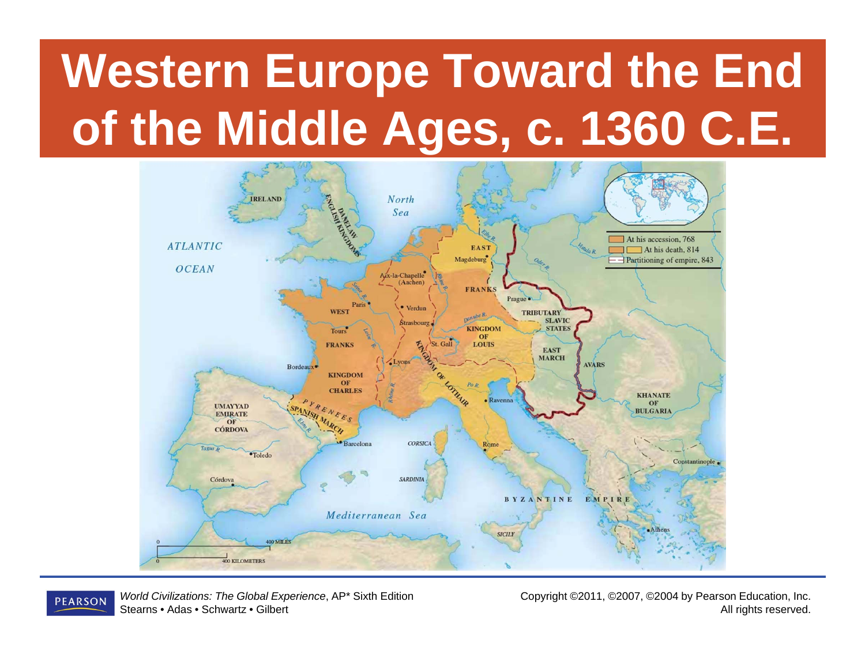# **Western Europe Toward the End of the Middle Ages, c. 1360 C.E.**



*World Civilizations: The Global Experience*, AP\* Sixth Edition **PEARSON** Stearns • Adas • Schwartz • Gilbert

Copyright ©2011, ©2007, ©2004 by Pearson Education, Inc. All rights reserved.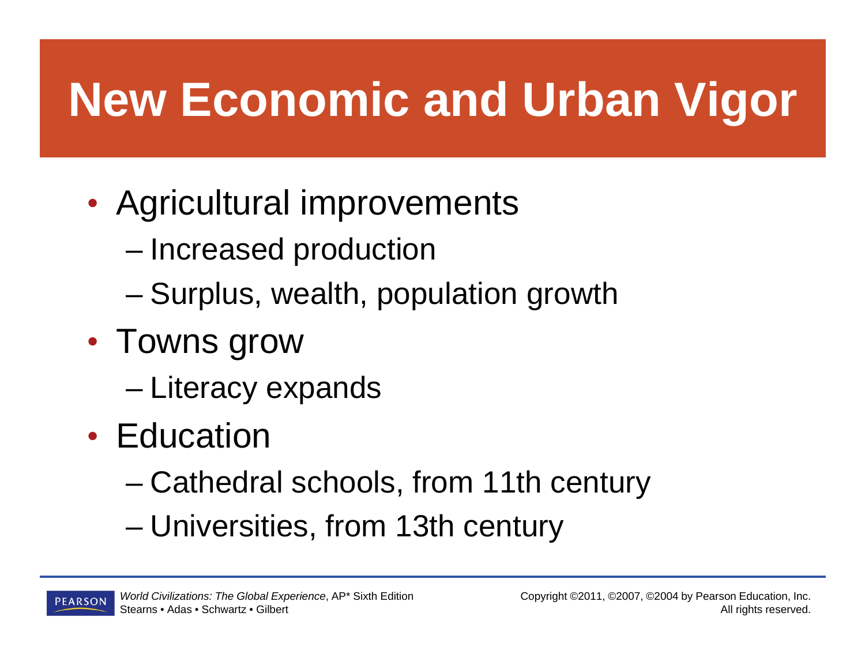### **New Economic and Urban Vigor**

- $\bullet$  Agricultural improvements
	- Increased production
	- –Surplus, wealth, population growth
- $\bullet$  Towns grow
	- Literacy expands
- Education
	- Cathedral schools, from 11th century
	- Universities, from 13th century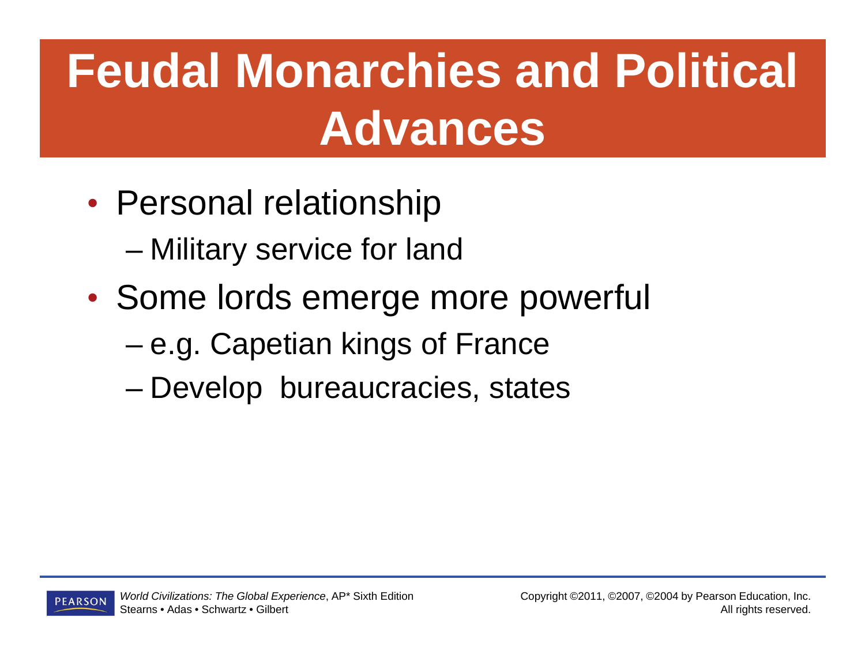### **Feudal Monarchies and Political Advances**

- $\bullet$  Personal relationship
	- Military service for land
- $\bullet$  Some lords emerge more powerful
	- –e.g. Capetian kings of France
	- Develop bureaucracies, states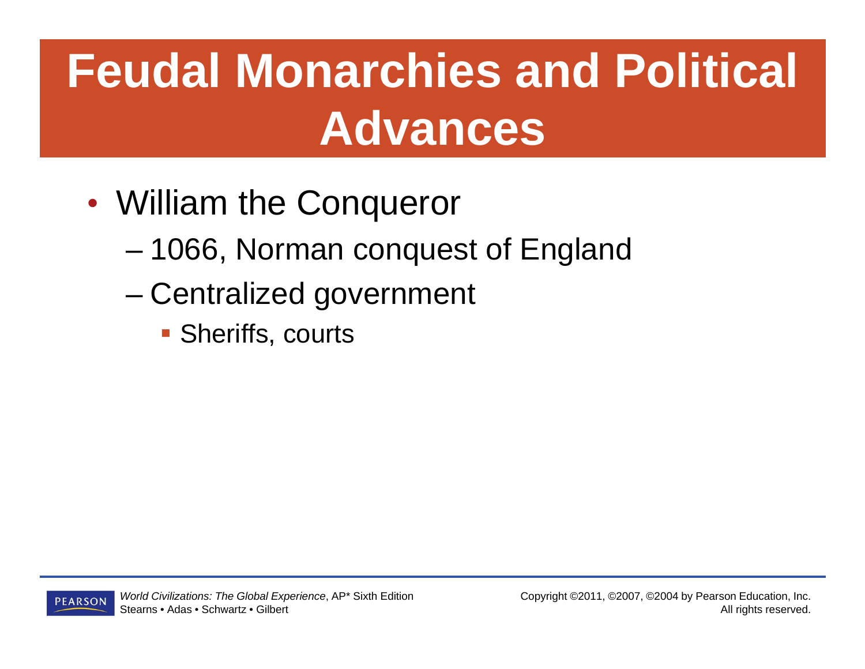### **Feudal Monarchies and Political Advances**

- $\bullet$  William the Conqueror
	- 1066, Norman conquest of England
	- – Centralized government
		- **Sheriffs, courts**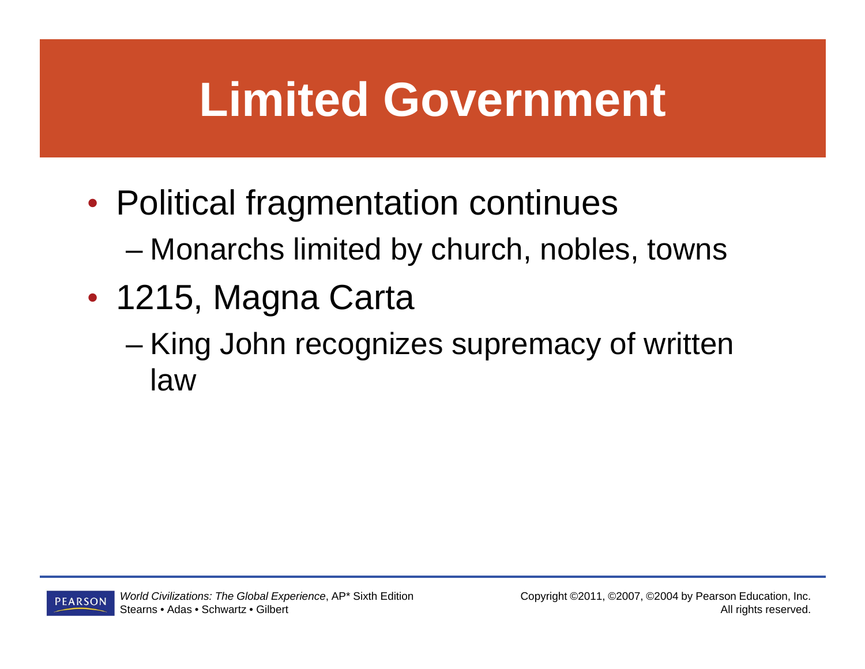### **Limited Government**

- $\bullet$  Political fragmentation continues Monarchs limited by church, nobles, towns
- $\bullet$  1215, Magna Carta
	- – King John recognizes supremacy of written law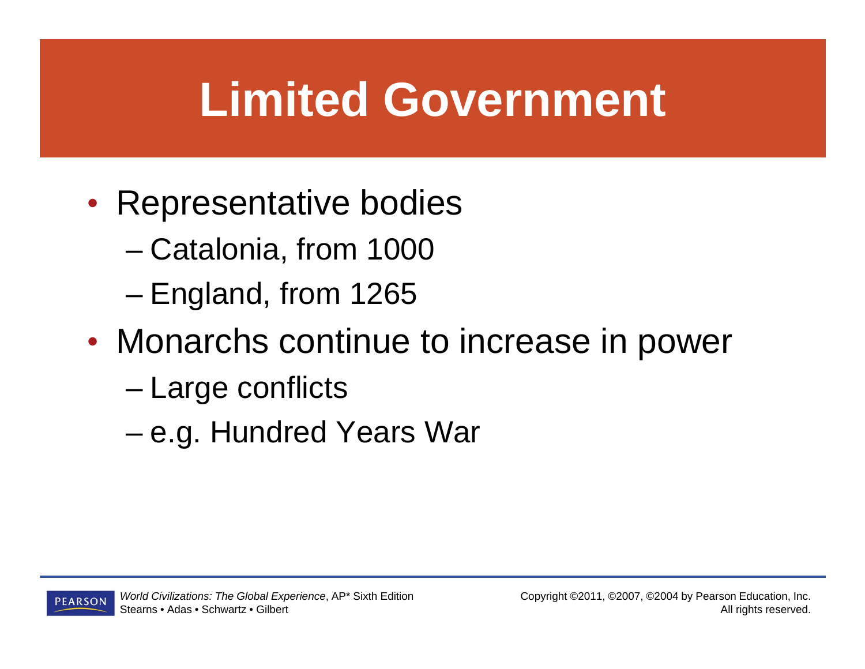### **Limited Government**

- $\bullet$ • Representative bodies
	- Catalonia, from 1000
	- –England, from 1265
- $\bullet$  Monarchs continue to increase in power
	- Large conflicts
	- –e.g. Hundred Years War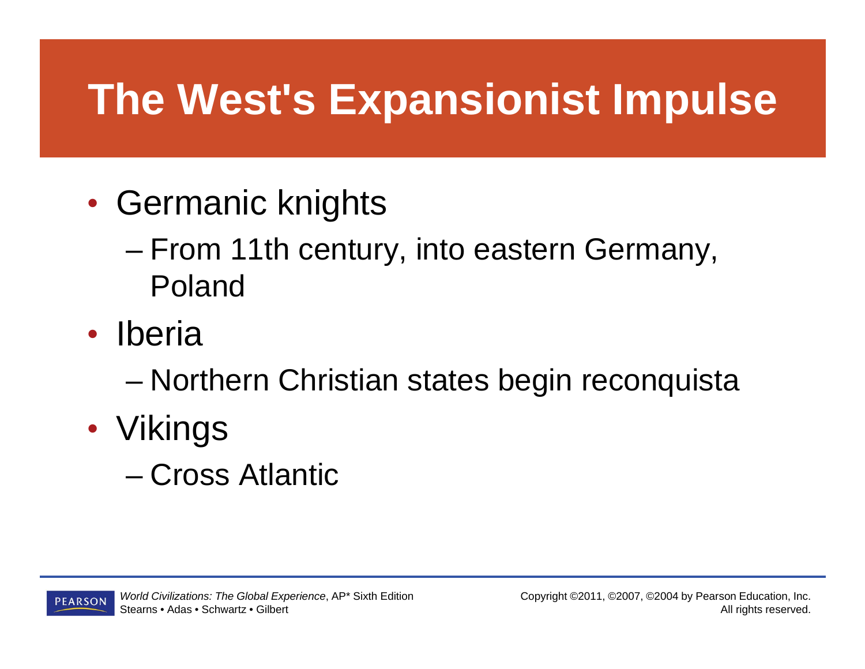### **The West's Expansionist Impulse**

- $\bullet$ • Germanic knights
	- From 11th century, into eastern Germany, Poland
- **Iberia**

Northern Christian states begin reconquista

- $\bullet$  Vikings
	- Cross Atlantic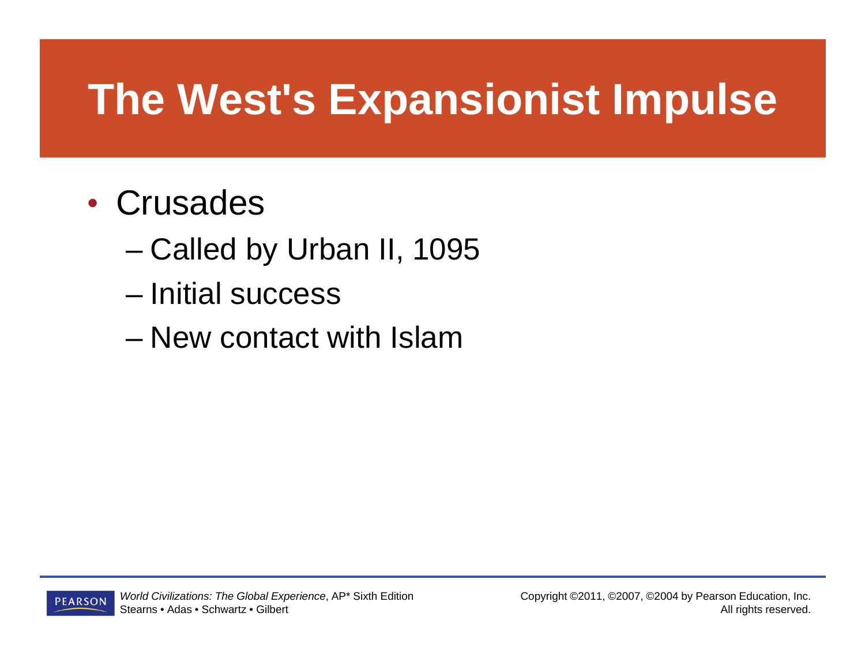### **The West's Expansionist Impulse**

#### • Crusades

- Called by Urban II, 1095
- Initial success
- New contact with Islam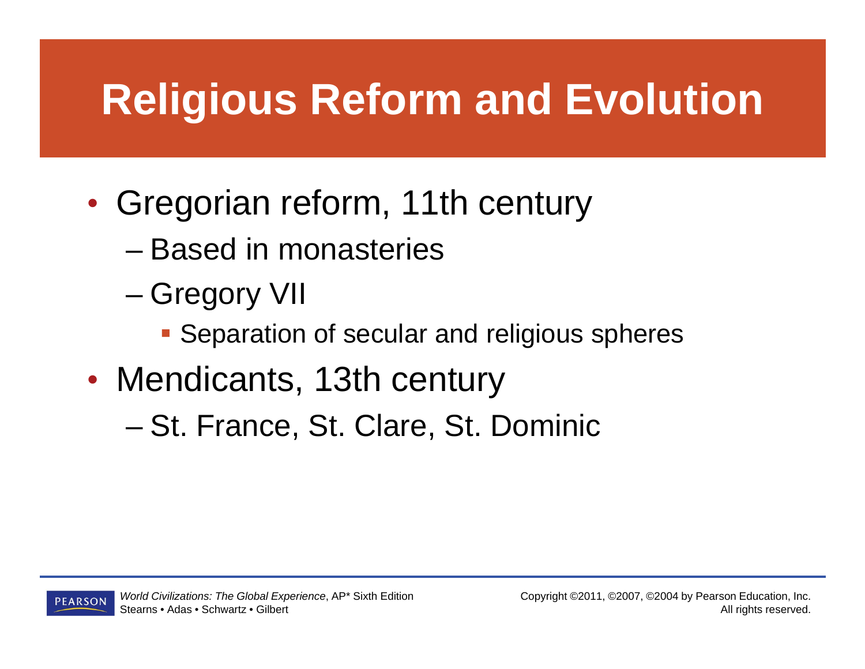### **Religious Reform and Evolution**

- $\bullet$  Gregorian reform, 11th century
	- Based in monasteries
	- – Gregory VII
		- **Separation of secular and religious spheres**
- • Mendicants, 13th century
	- St. France, St. Clare, St. Dominic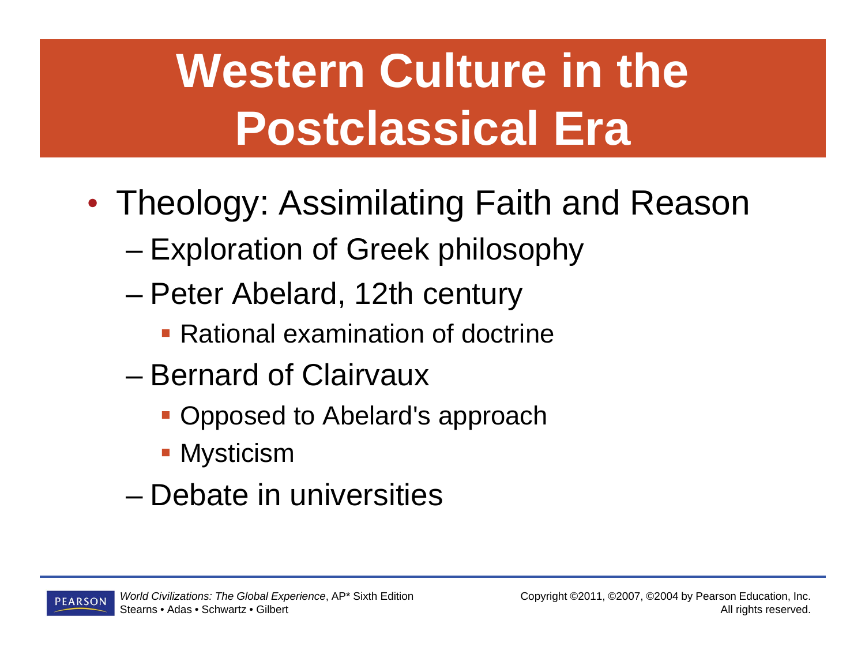# **Western Culture in the Postclassical Era**

- $\bullet$  Theology: Assimilating Faith and Reason
	- Exploration of Greek philosophy
	- – Peter Abelard, 12th century
		- Rational examination of doctrine
	- Bernard of Clairvaux
		- **Opposed to Abelard's approach**
		- **Mysticism**
	- Debate in universities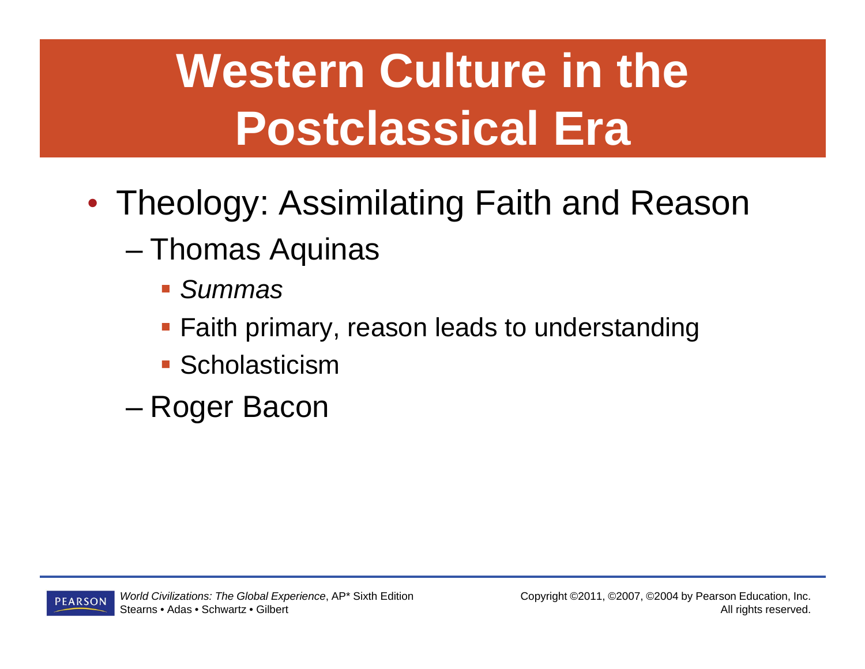# **Western Culture in the Postclassical Era**

- $\bullet$  Theology: Assimilating Faith and Reason
	- Thomas Aquinas
		- *Summas*
		- **Faith primary, reason leads to understanding**
		- **Scholasticism**
	- Roger Bacon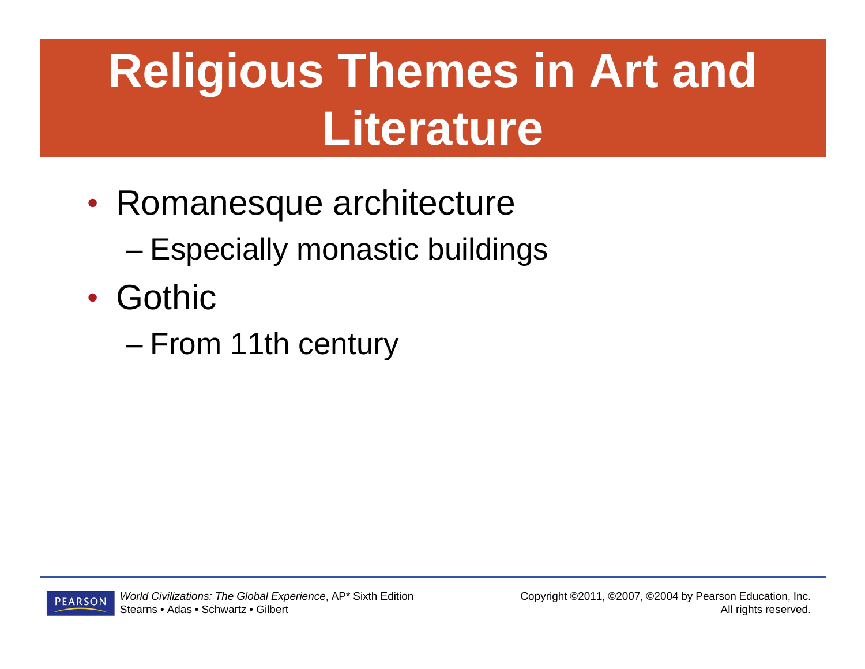### **Religious Themes in Art and Literature**

- $\bullet$ • Romanesque architecture Especially monastic buildings
- Gothic
	- –From 11th century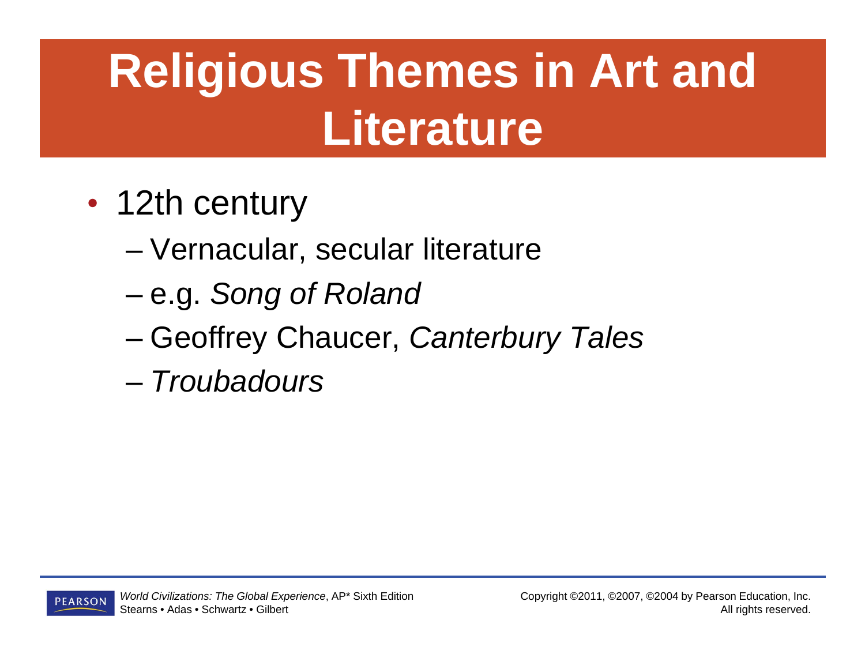# **Religious Themes in Art and Literature**

- $\bullet$ • 12th century
	- Vernacular, secular literature
	- –e.g. *Song of Roland*
	- –Geoffrey Chaucer, *Canterbury Tales*
	- *Troubadours*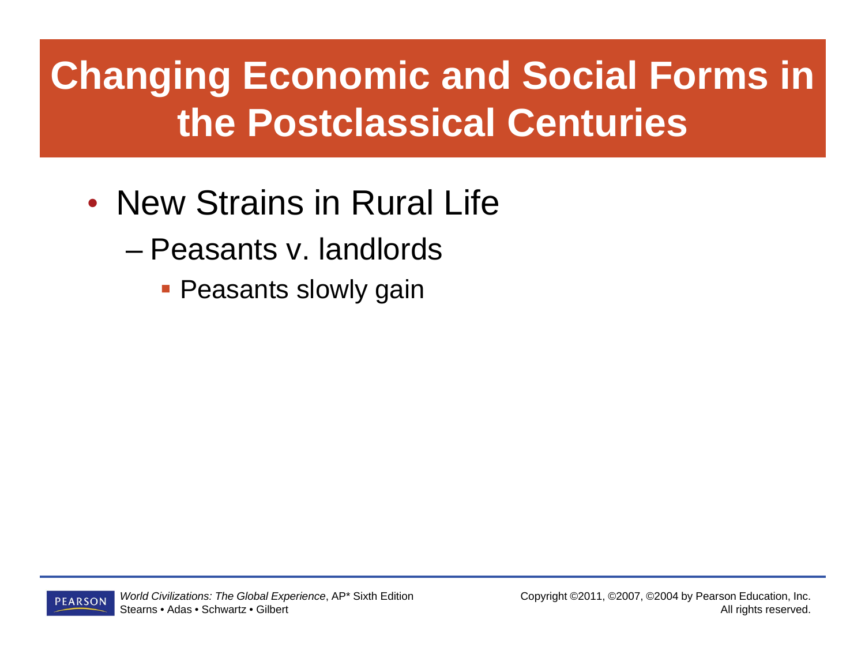#### **Changing Economic and Social Forms in the Postclassical Centuries**

#### • New Strains in Rural Life

- Peasants v. landlords
	- **Peasants slowly gain**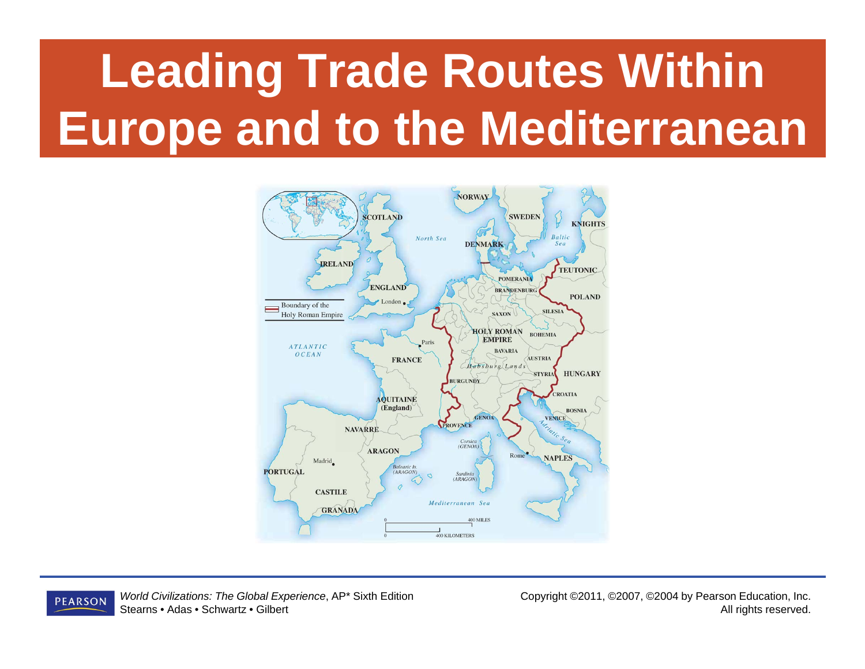# **Leading Trade Routes Within Europe and to the Mediterranean**



*World Civilizations: The Global Experience*, AP\* Sixth Edition **PEARSON** Stearns • Adas • Schwartz • Gilbert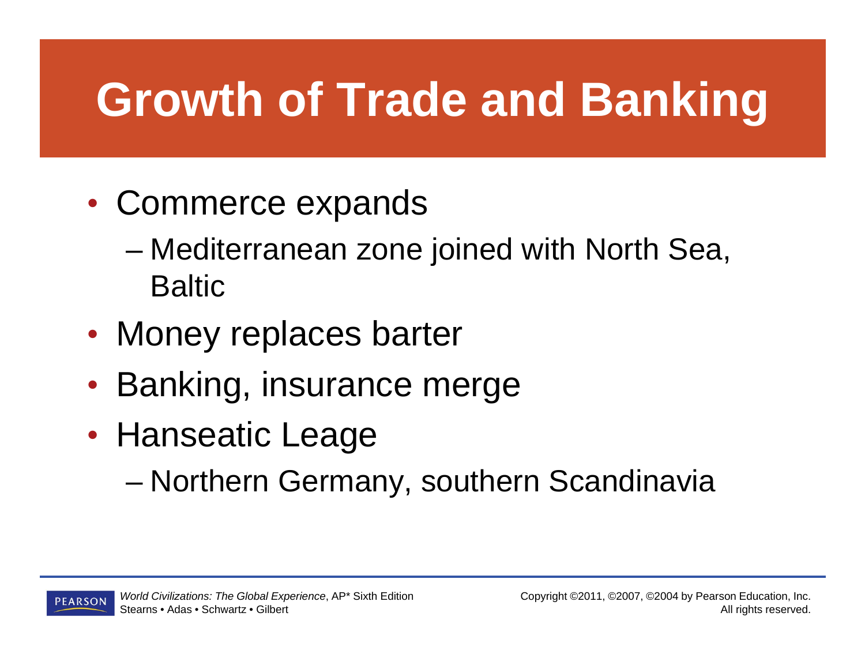### **Growth of Trade and Banking**

- $\bullet$  Commerce expands
	- Mediterranean zone joined with North Sea, **Baltic**
- $\bullet$ • Money replaces barter
- $\bullet$ • Banking, insurance merge
- $\bullet$ • Hanseatic Leage
	- –Northern Germany, southern Scandinavia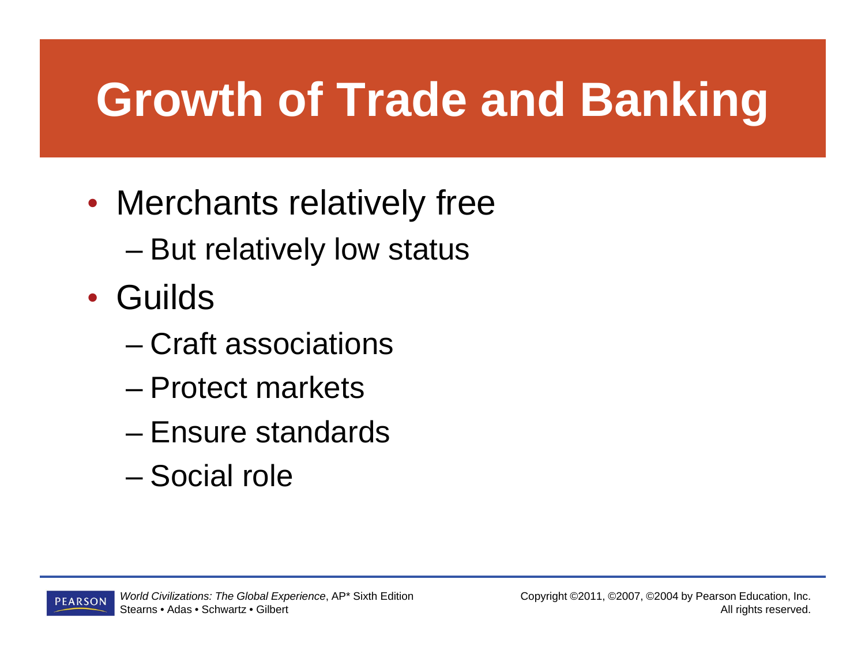### **Growth of Trade and Banking**

- $\bullet$  Merchants relatively free
	- But relatively low status
- Guilds
	- Craft associations
	- Protect markets
	- Ensure standards
	- Social role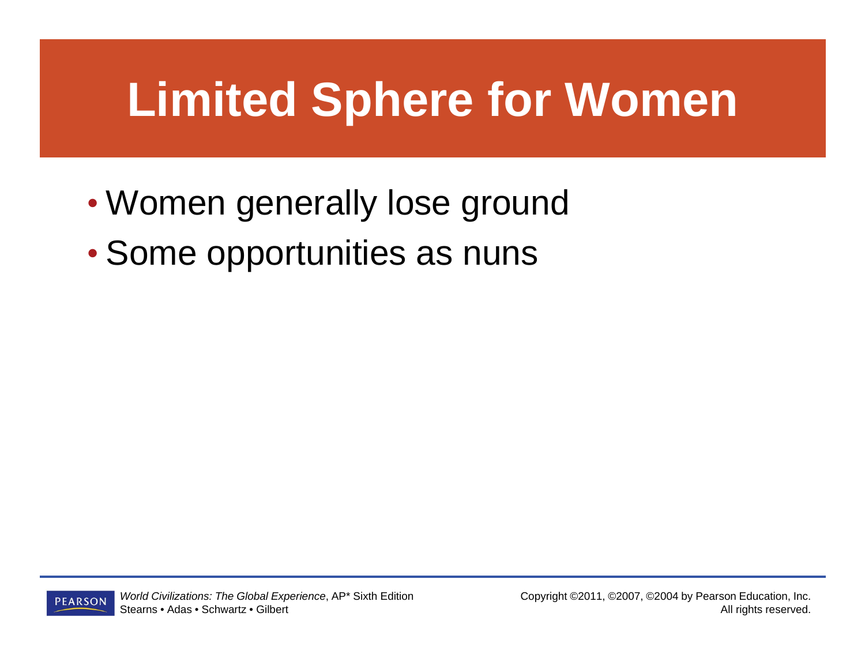### **Limited Sphere for Women**

- $\bullet$ Women generally lose ground
- $\bullet$ • Some opportunities as nuns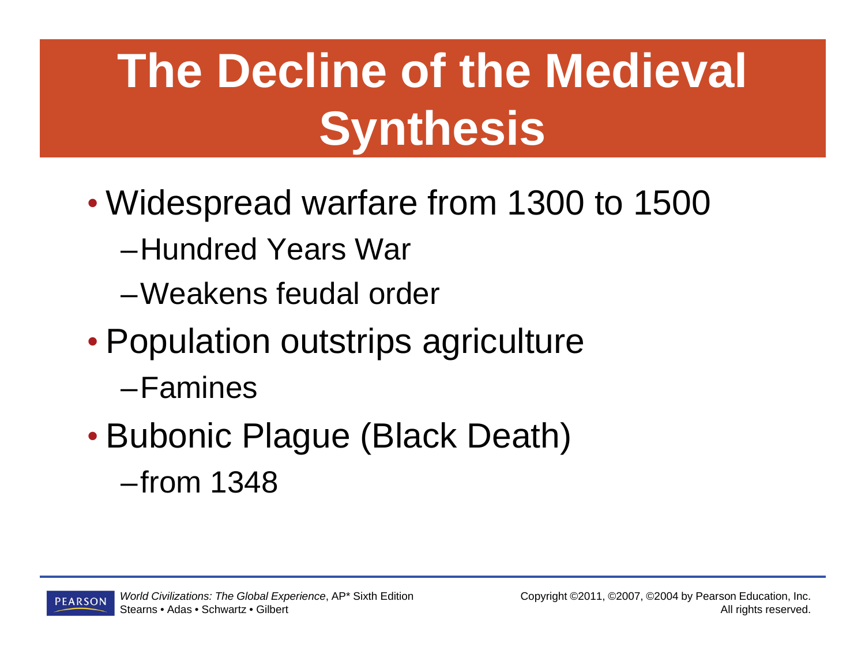# **The Decline of the Medieval Synthesis**

- $\bullet$  Widespread warfare from 1300 to 1500
	- –Hundred Years War
	- –Weakens feudal order
- $\bullet$  Population outstrips agriculture
	- –Famines
- $\bullet$  Bubonic Plague (Black Death) –from 1348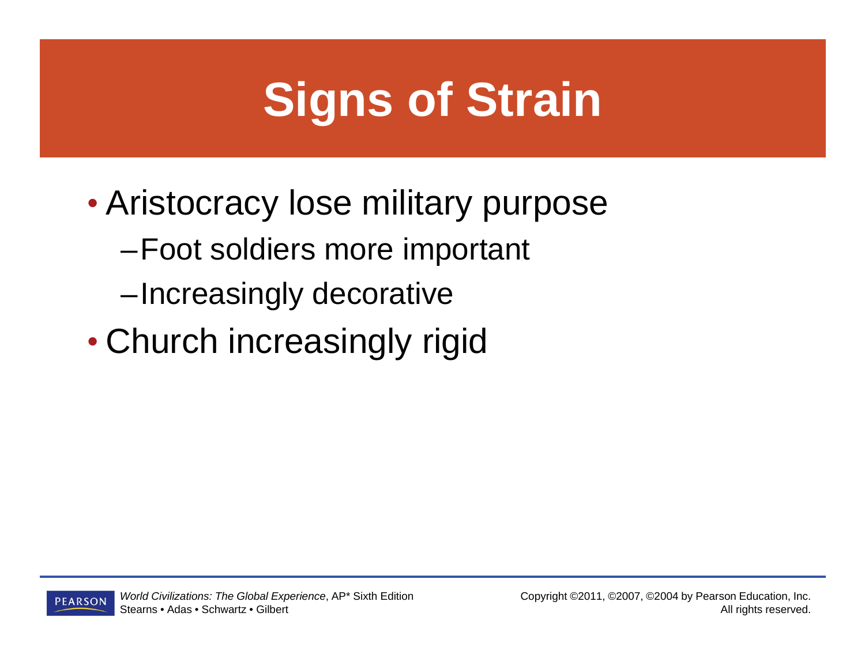### **Signs of Strain**

- $\bullet$  Aristocracy lose military purpose
	- –Foot soldiers more important
	- –Increasingly decorative
- $\bullet$ Church increasingly rigid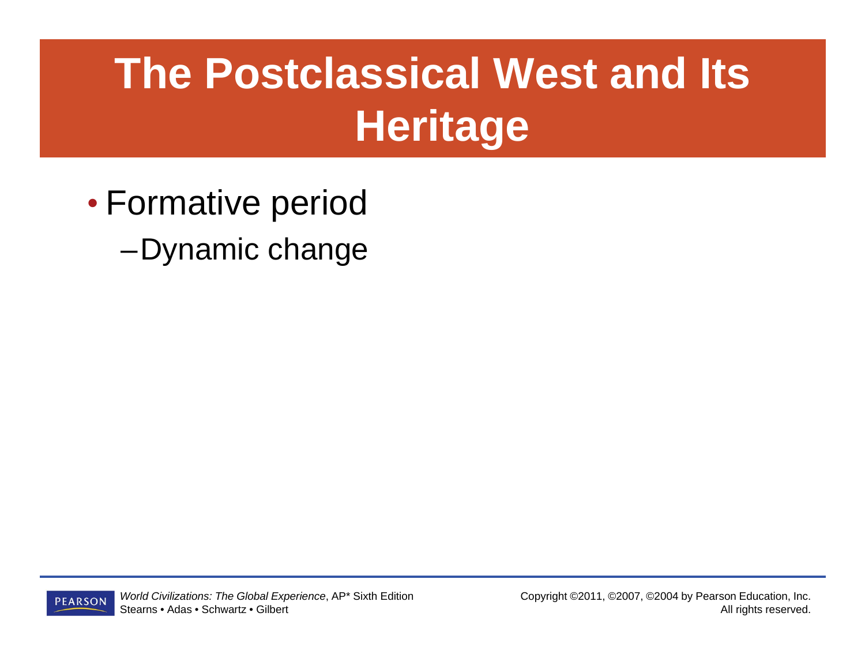### **The Postclassical West and Its Heritage**

- $\bullet$  Formative period
	- –Dynamic change